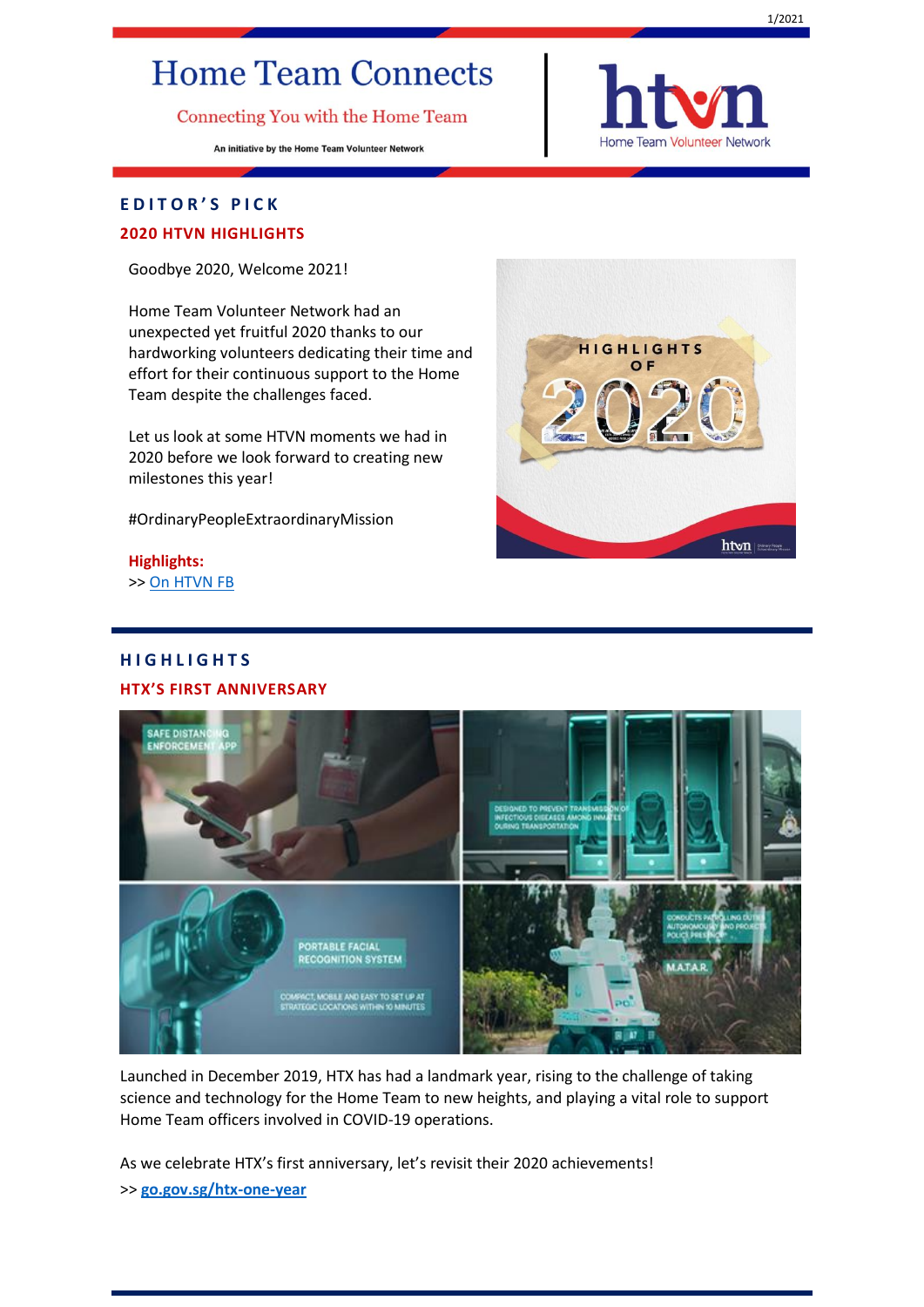# **Home Team Connects**

Connecting You with the Home Team

An initiative by the Home Team Volunteer Network



## **E D I T O R ' S P I C K**

### **2020 HTVN HIGHLIGHTS**

Goodbye 2020, Welcome 2021!

Home Team Volunteer Network had an unexpected yet fruitful 2020 thanks to our hardworking volunteers dedicating their time and effort for their continuous support to the Home Team despite the challenges faced.

Let us look at some HTVN moments we had in 2020 before we look forward to creating new milestones this year!

#OrdinaryPeopleExtraordinaryMission

**Highlights:**  >> [On HTVN FB](https://www.facebook.com/353229366321/posts/10158936260646322/?d=n)

# **H I G H L I G H T S**

#### **HTX'S FIRST ANNIVERSARY**



Launched in December 2019, HTX has had a landmark year, rising to the challenge of taking science and technology for the Home Team to new heights, and playing a vital role to support Home Team officers involved in COVID-19 operations.

As we celebrate HTX's first anniversary, let's revisit their 2020 achievements! >> **[go.gov.sg/htx-one-year](https://go.gov.sg/htx-one-year)**

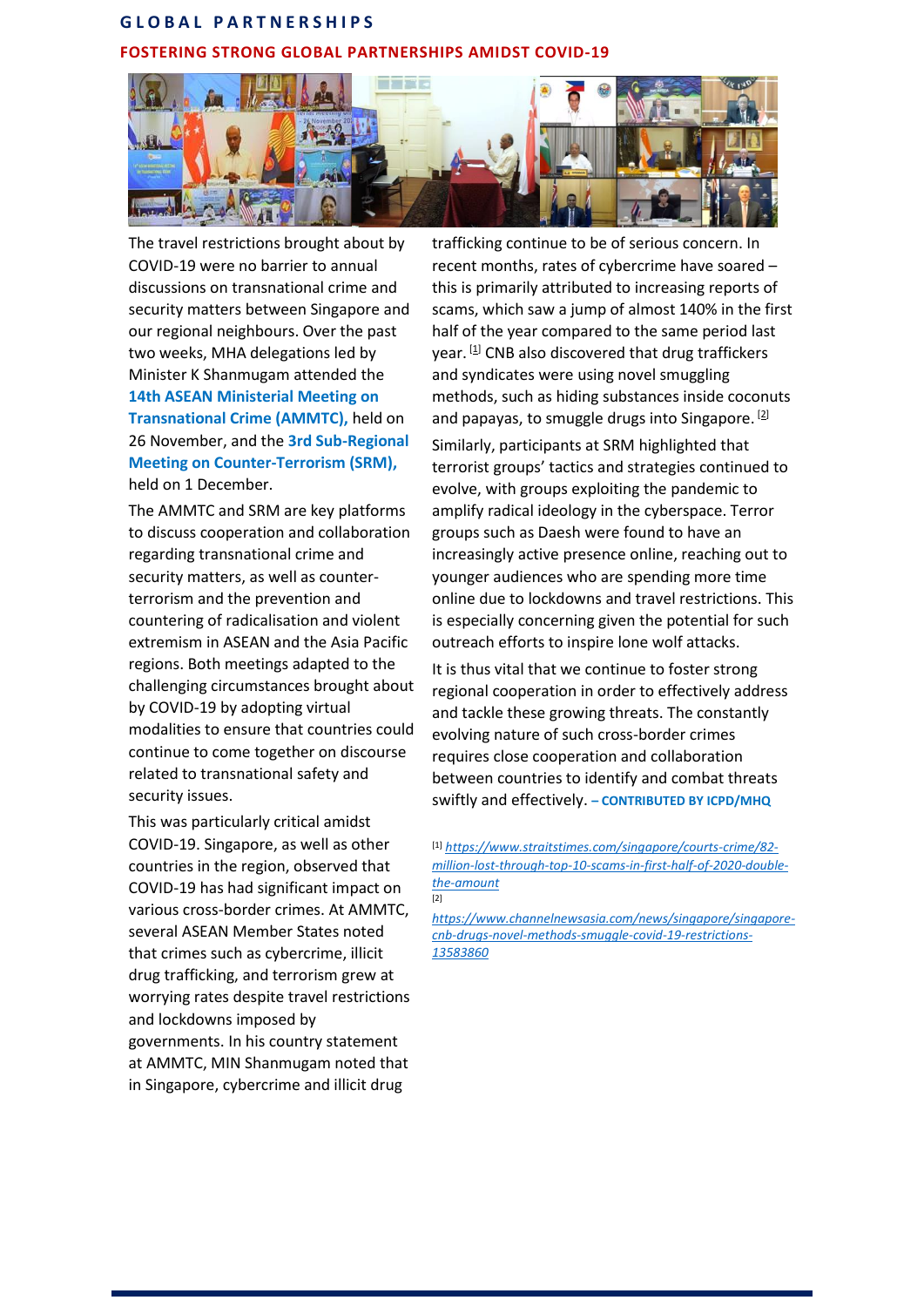# **G L O B A L P A R T N E R S H I P S FOSTERING STRONG GLOBAL PARTNERSHIPS AMIDST COVID-19**



The travel restrictions brought about by COVID-19 were no barrier to annual discussions on transnational crime and security matters between Singapore and our regional neighbours. Over the past two weeks, MHA delegations led by Minister K Shanmugam attended the **14th ASEAN Ministerial Meeting on Transnational Crime (AMMTC),** held on 26 November, and the **3rd Sub-Regional Meeting on Counter-Terrorism (SRM),** held on 1 December.

The AMMTC and SRM are key platforms to discuss cooperation and collaboration regarding transnational crime and security matters, as well as counterterrorism and the prevention and countering of radicalisation and violent extremism in ASEAN and the Asia Pacific regions. Both meetings adapted to the challenging circumstances brought about by COVID-19 by adopting virtual modalities to ensure that countries could continue to come together on discourse related to transnational safety and security issues.

This was particularly critical amidst COVID-19. Singapore, as well as other countries in the region, observed that COVID-19 has had significant impact on various cross-border crimes. At AMMTC, several ASEAN Member States noted that crimes such as cybercrime, illicit drug trafficking, and terrorism grew at worrying rates despite travel restrictions and lockdowns imposed by governments. In his country statement at AMMTC, MIN Shanmugam noted that in Singapore, cybercrime and illicit drug

trafficking continue to be of serious concern. In recent months, rates of cybercrime have soared – this is primarily attributed to increasing reports of scams, which saw a jump of almost 140% in the first half of the year compared to the same period last year. [1] CNB also discovered that drug traffickers and syndicates were using novel smuggling methods, such as hiding substances inside coconuts and papayas, to smuggle drugs into Singapore.  $[2]$ 

Similarly, participants at SRM highlighted that terrorist groups' tactics and strategies continued to evolve, with groups exploiting the pandemic to amplify radical ideology in the cyberspace. Terror groups such as Daesh were found to have an increasingly active presence online, reaching out to younger audiences who are spending more time online due to lockdowns and travel restrictions. This is especially concerning given the potential for such outreach efforts to inspire lone wolf attacks.

It is thus vital that we continue to foster strong regional cooperation in order to effectively address and tackle these growing threats. The constantly evolving nature of such cross-border crimes requires close cooperation and collaboration between countries to identify and combat threats swiftly and effectively. **– CONTRIBUTED BY ICPD/MHQ**

[1] *[https://www.straitstimes.com/singapore/courts-crime/82](https://www.straitstimes.com/singapore/courts-crime/82-million-lost-through-top-10-scams-in-first-half-of-2020-double-the-amount) [million-lost-through-top-10-scams-in-first-half-of-2020-double](https://www.straitstimes.com/singapore/courts-crime/82-million-lost-through-top-10-scams-in-first-half-of-2020-double-the-amount)[the-amount](https://www.straitstimes.com/singapore/courts-crime/82-million-lost-through-top-10-scams-in-first-half-of-2020-double-the-amount)* [2]

*[https://www.channelnewsasia.com/news/singapore/singapore](https://www.channelnewsasia.com/news/singapore/singapore-cnb-drugs-novel-methods-smuggle-covid-19-restrictions-13583860)[cnb-drugs-novel-methods-smuggle-covid-19-restrictions-](https://www.channelnewsasia.com/news/singapore/singapore-cnb-drugs-novel-methods-smuggle-covid-19-restrictions-13583860)[13583860](https://www.channelnewsasia.com/news/singapore/singapore-cnb-drugs-novel-methods-smuggle-covid-19-restrictions-13583860)*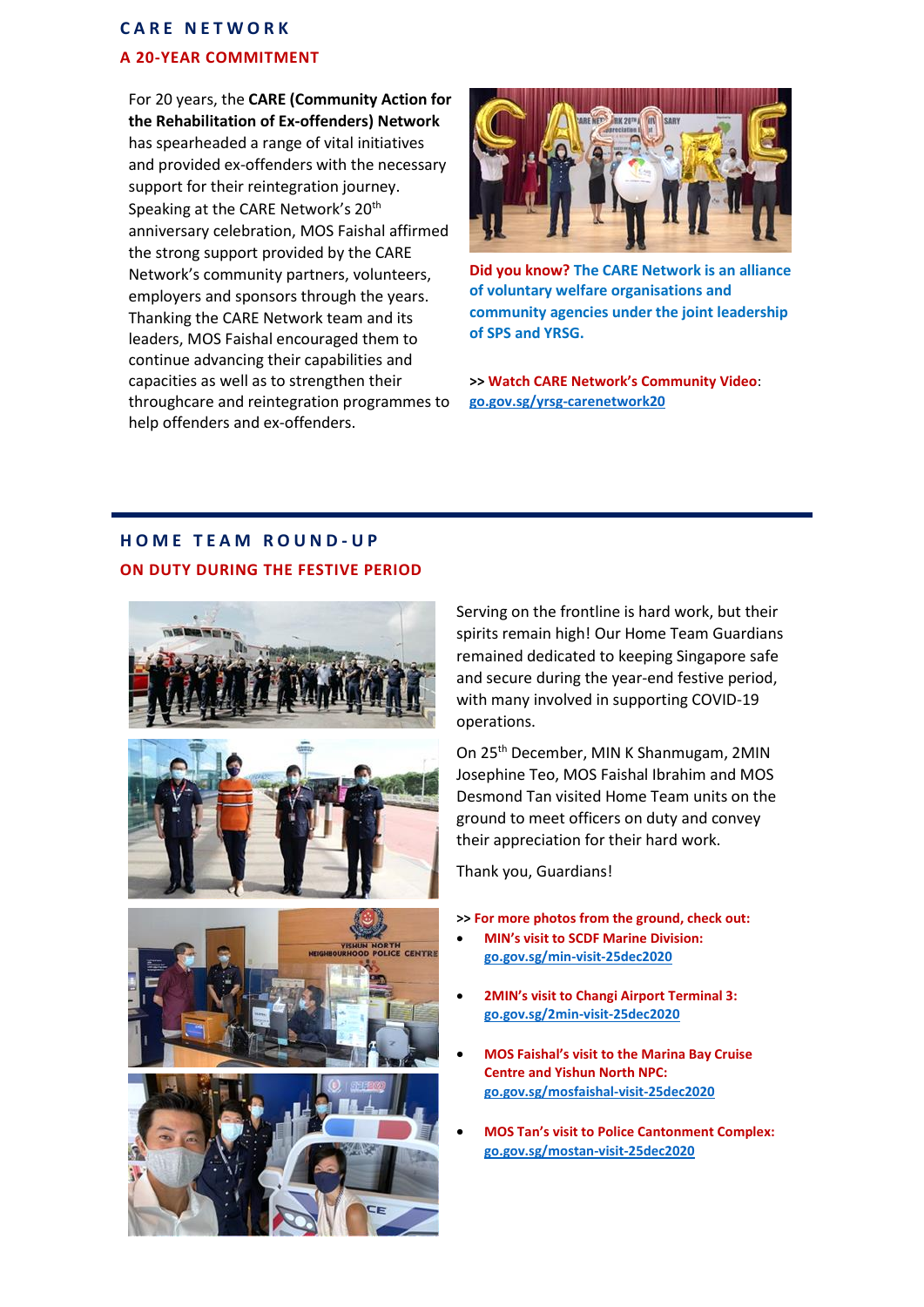# **C A R E N E T W O R K A 20-YEAR COMMITMENT**

For 20 years, the **CARE (Community Action for the Rehabilitation of Ex-offenders) Network** has spearheaded a range of vital initiatives and provided ex-offenders with the necessary support for their reintegration journey. Speaking at the CARE Network's 20<sup>th</sup> anniversary celebration, MOS Faishal affirmed the strong support provided by the CARE Network's community partners, volunteers, employers and sponsors through the years. Thanking the CARE Network team and its leaders, MOS Faishal encouraged them to continue advancing their capabilities and capacities as well as to strengthen their throughcare and reintegration programmes to help offenders and ex-offenders.



**Did you know? The CARE Network is an alliance of voluntary welfare organisations and community agencies under the joint leadership of SPS and YRSG.**

**>> Watch CARE Network's Community Video**: **[go.gov.sg/yrsg-carenetwork20](https://go.gov.sg/yrsg-carenetwork20)**

# **H O M E T E A M R O U N D - U P ON DUTY DURING THE FESTIVE PERIOD**



Serving on the frontline is hard work, but their spirits remain high! Our Home Team Guardians remained dedicated to keeping Singapore safe and secure during the year-end festive period, with many involved in supporting COVID-19 operations.

On 25th December, MIN K Shanmugam, 2MIN Josephine Teo, MOS Faishal Ibrahim and MOS Desmond Tan visited Home Team units on the ground to meet officers on duty and convey their appreciation for their hard work.

Thank you, Guardians!

**>> For more photos from the ground, check out:**

- **MIN's visit to SCDF Marine Division: [go.gov.sg/min-visit-25dec2020](https://go.gov.sg/min-visit-25dec2020)**
- **2MIN's visit to Changi Airport Terminal 3: [go.gov.sg/2min-visit-25dec2020](https://go.gov.sg/2min-visit-25dec2020)**
- **MOS Faishal's visit to the Marina Bay Cruise Centre and Yishun North NPC: [go.gov.sg/mosfaishal-visit-25dec2020](http://go.gov.sg/mosfaishal-visit-25dec2020)**
- **MOS Tan's visit to Police Cantonment Complex: [go.gov.sg/mostan-visit-25dec2020](https://go.gov.sg/mostan-visit-25dec2020)**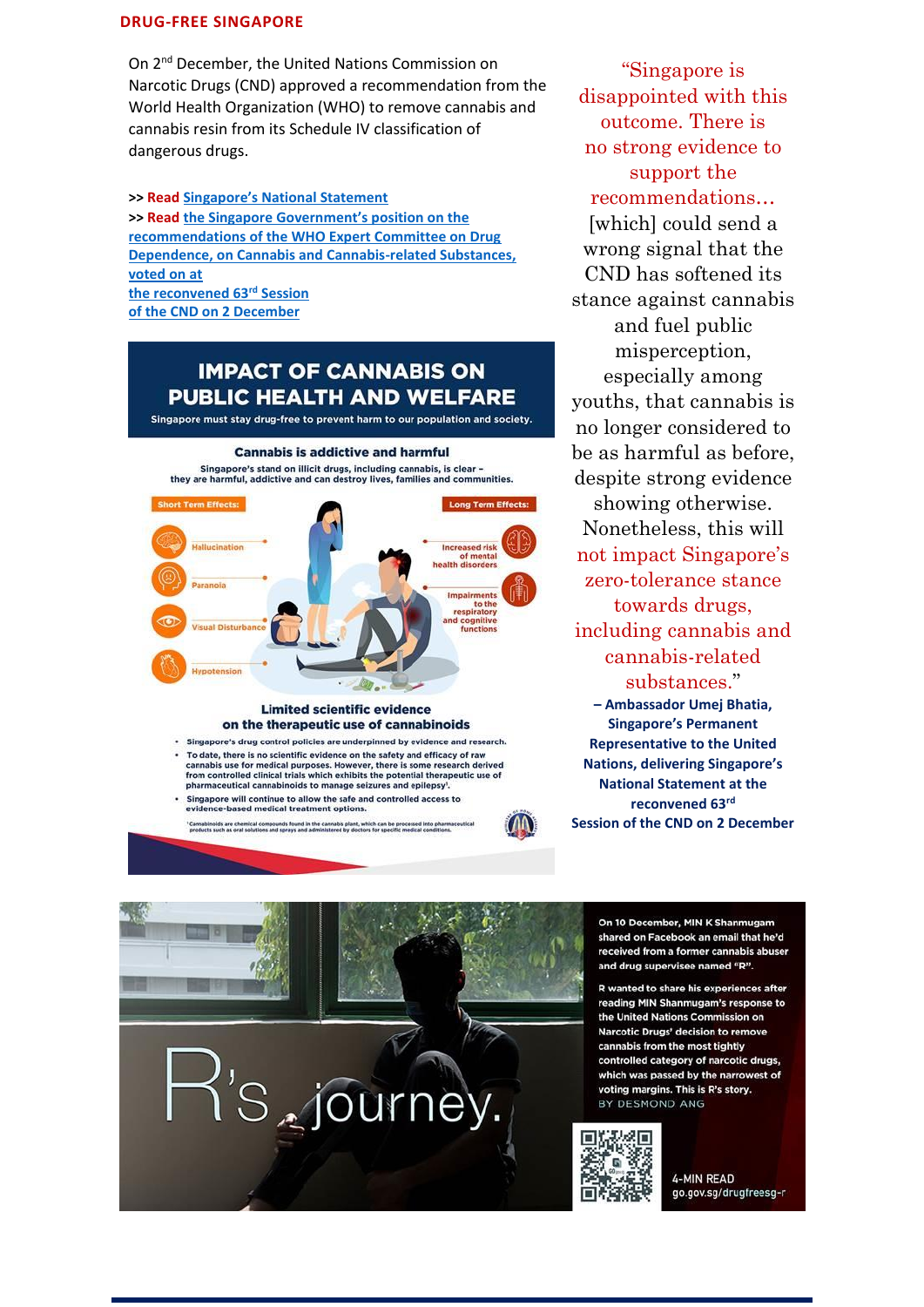#### **DRUG-FREE SINGAPORE**

On 2<sup>nd</sup> December, the United Nations Commission on Narcotic Drugs (CND) approved a recommendation from the World Health Organization (WHO) to remove cannabis and cannabis resin from its Schedule IV classification of dangerous drugs.

**>> Read [Singapore's National Statement](https://www.mha.gov.sg/newsroom/speeches/news/reconvened-63rd-session-of-the-commission-on-narcotic-drugs-singapore-national-statement-by-ambassador-umej-bhatia-singapore-permanent-representative-to-the-un) >> Read [the Singapore Government's position on the](https://www.mha.gov.sg/newsroom/press-release/news/singapore-government-position-on-the-recommendations-of-who-ecdd)  [recommendations of the WHO Expert Committee on Drug](https://www.mha.gov.sg/newsroom/press-release/news/singapore-government-position-on-the-recommendations-of-who-ecdd)  [Dependence, on Cannabis and Cannabis-related Substances,](https://www.mha.gov.sg/newsroom/press-release/news/singapore-government-position-on-the-recommendations-of-who-ecdd)  [voted on at](https://www.mha.gov.sg/newsroom/press-release/news/singapore-government-position-on-the-recommendations-of-who-ecdd)  [the reconvened 63](https://www.mha.gov.sg/newsroom/press-release/news/singapore-government-position-on-the-recommendations-of-who-ecdd)rd Session [of the CND on 2 December](https://www.mha.gov.sg/newsroom/press-release/news/singapore-government-position-on-the-recommendations-of-who-ecdd)**

# **IMPACT OF CANNABIS ON PUBLIC HEALTH AND WELFARE**

Singapore must stay drug-free to prevent harm to our population and society.



#### **Limited scientific evidence** on the therapeutic use of cannabinoids

- · Singapore's drug control policies are underpinned by evidence and research. To date, there is no scientific evidence on the safety and efficacy of raw cannabis use for medical purposes. However, there is some research derived<br>from controlled clinical trials which exhibits the potential therapeutic use of<br>pharmaceutical cannabinoids to manage seizures and epilepsy<sup>1</sup>.
- Singapore will continue to allow the safe and controlled access to evidence-based medical treatment options.

.<br>Cannabinoids are chemical compounds found in the cannabis plant, which can be processed into pharm'<br>products such as oral solutions and sprays and administered by doctors for specific medical conditions

"Singapore is disappointed with this outcome. There is no strong evidence to support the recommendations… [which] could send a wrong signal that the CND has softened its stance against cannabis and fuel public misperception, especially among youths, that cannabis is no longer considered to be as harmful as before, despite strong evidence showing otherwise. Nonetheless, this will not impact Singapore's zero-tolerance stance towards drugs, including cannabis and cannabis-related substances." **– Ambassador Umej Bhatia, Singapore's Permanent Representative to the United Nations, delivering Singapore's National Statement at the reconvened 63rd Session of the CND on 2 December**

> On 10 December, MIN K Shanmugam shared on Facebook an email that he'd received from a former cannabis abuser and drug supervisee named "R".

R wanted to share his experiences after reading MIN Shanmugam's response to the United Nations Commission on Narcotic Drugs' decision to remove cannabis from the most tightly controlled category of narcotic drugs, which was passed by the narrowest of voting margins. This is R's story. BY DESMOND ANG



**4-MIN READ** go.gov.sg/drugfreesg-r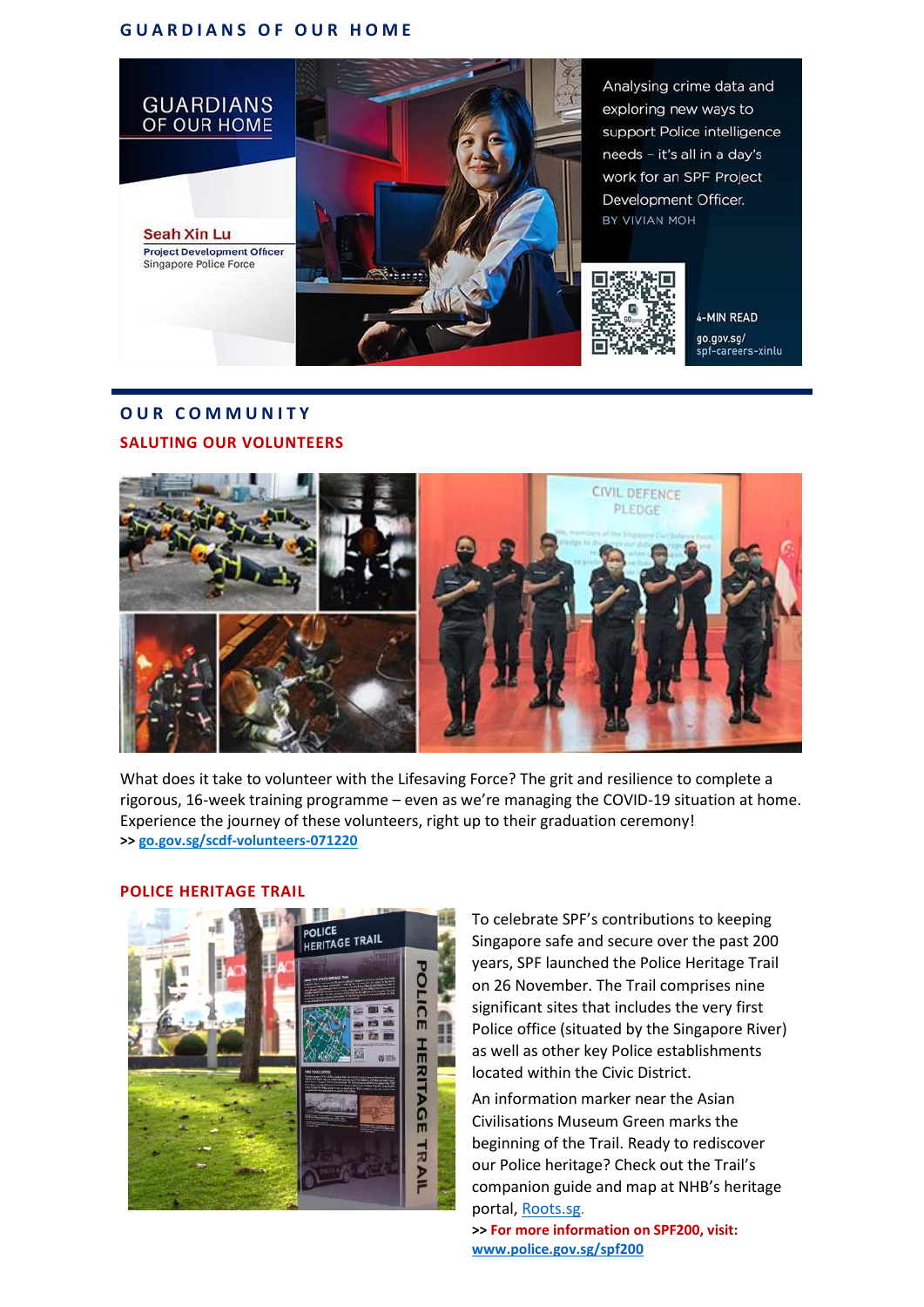#### **G U A R D I A N S O F O U R H O M E**



# **O U R C O M M U N I T Y SALUTING OUR VOLUNTEERS**



What does it take to volunteer with the Lifesaving Force? The grit and resilience to complete a rigorous, 16-week training programme – even as we're managing the COVID-19 situation at home. Experience the journey of these volunteers, right up to their graduation ceremony! **>[> go.gov.sg/scdf-volunteers-071220](https://go.gov.sg/scdf-volunteers-071220)**



#### **POLICE HERITAGE TRAIL**

To celebrate SPF's contributions to keeping Singapore safe and secure over the past 200 years, SPF launched the Police Heritage Trail on 26 November. The Trail comprises nine significant sites that includes the very first Police office (situated by the Singapore River) as well as other key Police establishments located within the Civic District.

An information marker near the Asian Civilisations Museum Green marks the beginning of the Trail. Ready to rediscover our Police heritage? Check out the Trail's companion guide and map at NHB's heritage portal, [Roots.sg.](https://www.roots.gov.sg/places/places-landing/trails/Police-Heritage-Trail)

**>> For more information on SPF200, visit: [www.police.gov.sg/spf200](http://www.police.gov.sg/spf200)**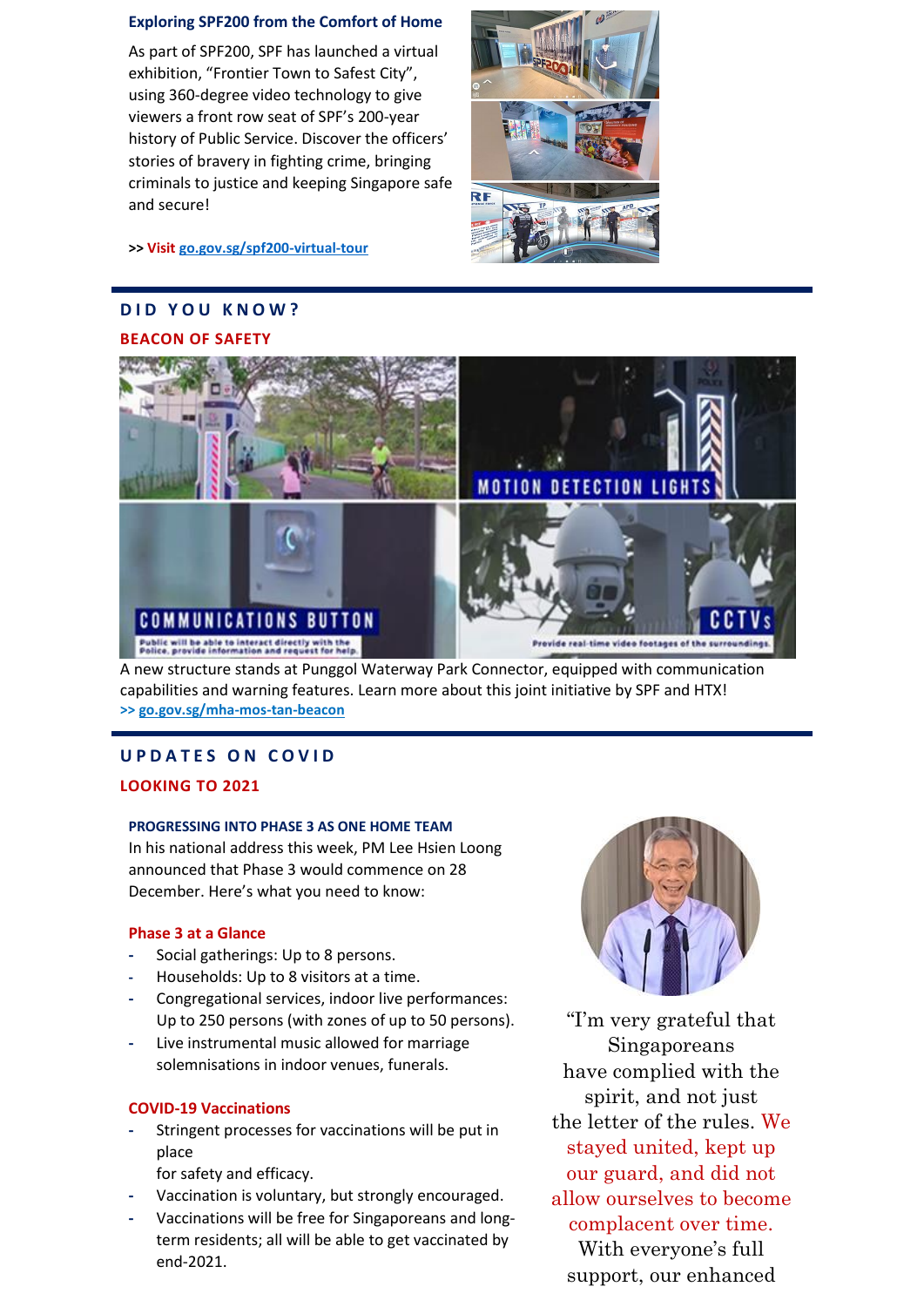#### **Exploring SPF200 from the Comfort of Home**

As part of SPF200, SPF has launched a virtual exhibition, "Frontier Town to Safest City", using 360-degree video technology to give viewers a front row seat of SPF's 200-year history of Public Service. Discover the officers' stories of bravery in fighting crime, bringing criminals to justice and keeping Singapore safe and secure!



**>> Visit [go.gov.sg/spf200-virtual-tour](https://go.gov.sg/spf200-virtual-tour)**

# **DID YOU KNOW? BEACON OF SAFETY**



A new structure stands at Punggol Waterway Park Connector, equipped with communication capabilities and warning features. Learn more about this joint initiative by SPF and HTX! **>> [go.gov.sg/mha-mos-tan-beacon](https://go.gov.sg/mha-mos-tan-beacon)**

# **U P D A T E S O N C O V I D**

## **LOOKING TO 2021**

#### **PROGRESSING INTO PHASE 3 AS ONE HOME TEAM**

In his national address this week, PM Lee Hsien Loong announced that Phase 3 would commence on 28 December. Here's what you need to know:

#### **Phase 3 at a Glance**

- **-** Social gatherings: Up to 8 persons.
- **-** Households: Up to 8 visitors at a time.
- **-** Congregational services, indoor live performances: Up to 250 persons (with zones of up to 50 persons).
- **-** Live instrumental music allowed for marriage solemnisations in indoor venues, funerals.

## **COVID-19 Vaccinations**

- **-** Stringent processes for vaccinations will be put in place
	- for safety and efficacy.
- **-** Vaccination is voluntary, but strongly encouraged.
- **-** Vaccinations will be free for Singaporeans and longterm residents; all will be able to get vaccinated by end-2021.



"I'm very grateful that Singaporeans have complied with the spirit, and not just the letter of the rules. We stayed united, kept up our guard, and did not allow ourselves to become complacent over time. With everyone's full support, our enhanced